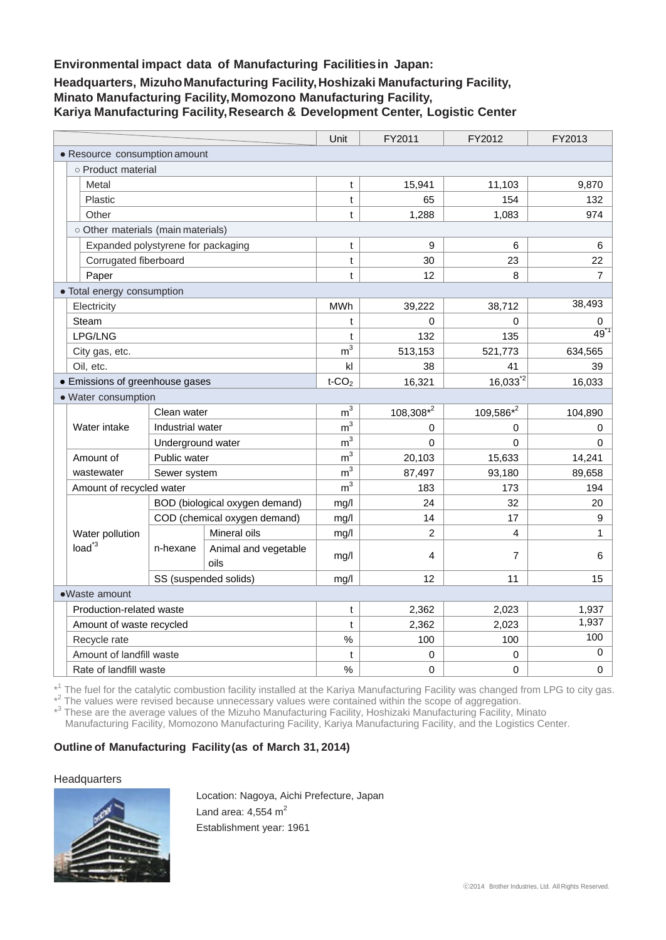## **Environmental impact data of Manufacturing Facilitiesin Japan:**

# **Headquarters, MizuhoManufacturing Facility,Hoshizaki Manufacturing Facility, Minato Manufacturing Facility,Momozono Manufacturing Facility, Kariya Manufacturing Facility,Research & Development Center, Logistic Center**

|                                     |                                |                              | Unit                 | FY2011         | FY2012         | FY2013   |
|-------------------------------------|--------------------------------|------------------------------|----------------------|----------------|----------------|----------|
| • Resource consumption amount       |                                |                              |                      |                |                |          |
| o Product material                  |                                |                              |                      |                |                |          |
| Metal                               |                                |                              | t                    | 15,941         | 11,103         | 9,870    |
| Plastic                             |                                |                              | t                    | 65             | 154            | 132      |
| Other                               |                                |                              | t                    | 1,288          | 1,083          | 974      |
| o Other materials (main materials)  |                                |                              |                      |                |                |          |
| Expanded polystyrene for packaging  |                                |                              | t                    | 9              | 6              | 6        |
| Corrugated fiberboard               |                                |                              | t                    | 30             | 23             | 22       |
| Paper                               |                                |                              | t                    | 12             | 8              | 7        |
| • Total energy consumption          |                                |                              |                      |                |                |          |
| Electricity                         |                                |                              | <b>MWh</b>           | 39,222         | 38,712         | 38,493   |
| Steam                               |                                |                              | t                    | 0              | 0              | 0        |
| LPG/LNG                             |                                |                              | t                    | 132            | 135            | 49       |
| City gas, etc.                      |                                |                              | m <sup>3</sup>       | 513,153        | 521,773        | 634,565  |
| Oil, etc.                           |                                |                              | kl                   | 38             | 41             | 39       |
| • Emissions of greenhouse gases     |                                |                              | $t$ -CO <sub>2</sub> | 16,321         | $16,033^{2}$   | 16,033   |
| · Water consumption                 |                                |                              |                      |                |                |          |
| Water intake                        | Clean water                    |                              | m <sup>3</sup>       | $108,308*^2$   | 109,586*2      | 104,890  |
|                                     | Industrial water               |                              | m <sup>3</sup>       | 0              | 0              | 0        |
|                                     | Underground water              |                              | m <sup>3</sup>       | $\Omega$       | $\Omega$       | $\Omega$ |
| Amount of                           | Public water                   |                              | m <sup>3</sup>       | 20,103         | 15,633         | 14,241   |
| wastewater                          | Sewer system                   |                              | m <sup>3</sup>       | 87,497         | 93,180         | 89,658   |
| Amount of recycled water            |                                |                              | m <sup>3</sup>       | 183            | 173            | 194      |
| Water pollution<br>$load^{\dot{3}}$ | BOD (biological oxygen demand) |                              | mg/l                 | 24             | 32             | 20       |
|                                     |                                | COD (chemical oxygen demand) | mg/l                 | 14             | 17             | 9        |
|                                     | n-hexane                       | Mineral oils                 | mg/l                 | $\overline{2}$ | $\overline{4}$ | 1        |
|                                     |                                | Animal and vegetable         | mg/l                 | 4              | $\overline{7}$ | 6        |
|                                     |                                | oils                         |                      |                |                |          |
| SS (suspended solids)               |                                |                              | mg/l                 | 12             | 11             | 15       |
| •Waste amount                       |                                |                              |                      |                |                |          |
| Production-related waste            |                                |                              | t                    | 2,362          | 2,023          | 1,937    |
| Amount of waste recycled            |                                |                              | t                    | 2,362          | 2,023          | 1,937    |
| Recycle rate                        |                                |                              | $\%$                 | 100            | 100            | 100      |
| Amount of landfill waste            |                                |                              | t                    | 0              | $\Omega$       | 0        |
| Rate of landfill waste              |                                |                              | $\%$                 | $\mathbf 0$    | $\mathbf 0$    | 0        |

\*<sup>1</sup> The fuel for the catalytic combustion facility installed at the Kariya Manufacturing Facility was changed from LPG to city gas.

\*<sup>2</sup> The values were revised because unnecessary values were contained within the scope of aggregation.

\*<sup>3</sup> These are the average values of the Mizuho Manufacturing Facility, Hoshizaki Manufacturing Facility, Minato

Manufacturing Facility, Momozono Manufacturing Facility, Kariya Manufacturing Facility, and the Logistics Center.

# **Outline of Manufacturing Facility(as of March 31, 2014)**

## **Headquarters**



Location: Nagoya, Aichi Prefecture, Japan Land area:  $4,554$  m<sup>2</sup> Establishment year: 1961